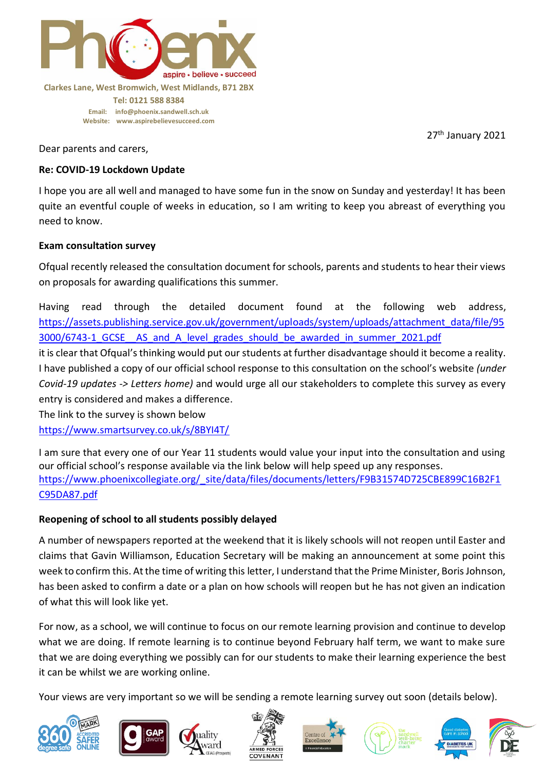

**Email: [info@phoenix.sandwell.sch.uk](mailto:info@phoenix.sandwell.sch.uk) Website: www.aspirebelievesucceed.com**

27<sup>th</sup> January 2021

Dear parents and carers,

## **Re: COVID-19 Lockdown Update**

I hope you are all well and managed to have some fun in the snow on Sunday and yesterday! It has been quite an eventful couple of weeks in education, so I am writing to keep you abreast of everything you need to know.

## **Exam consultation survey**

Ofqual recently released the consultation document for schools, parents and students to hear their views on proposals for awarding qualifications this summer.

Having read through the detailed document found at the following web address, [https://assets.publishing.service.gov.uk/government/uploads/system/uploads/attachment\\_data/file/95](https://assets.publishing.service.gov.uk/government/uploads/system/uploads/attachment_data/file/953000/6743-1_GCSE__AS_and_A_level_grades_should_be_awarded_in_summer_2021.pdf) 3000/6743-1\_GCSE \_AS\_and\_A\_level\_grades\_should\_be\_awarded\_in\_summer\_2021.pdf

it is clear that Ofqual's thinking would put our students at further disadvantage should it become a reality. I have published a copy of our official school response to this consultation on the school's website *(under Covid-19 updates -> Letters home)* and would urge all our stakeholders to complete this survey as every entry is considered and makes a difference.

The link to the survey is shown below

<https://www.smartsurvey.co.uk/s/8BYI4T/>

I am sure that every one of our Year 11 students would value your input into the consultation and using our official school's response available via the link below will help speed up any responses. [https://www.phoenixcollegiate.org/\\_site/data/files/documents/letters/F9B31574D725CBE899C16B2F1](https://www.phoenixcollegiate.org/_site/data/files/documents/letters/F9B31574D725CBE899C16B2F1C95DA87.pdf) [C95DA87.pdf](https://www.phoenixcollegiate.org/_site/data/files/documents/letters/F9B31574D725CBE899C16B2F1C95DA87.pdf)

# **Reopening of school to all students possibly delayed**

A number of newspapers reported at the weekend that it is likely schools will not reopen until Easter and claims that Gavin Williamson, Education Secretary will be making an announcement at some point this week to confirm this. At the time of writing this letter, I understand that the Prime Minister, Boris Johnson, has been asked to confirm a date or a plan on how schools will reopen but he has not given an indication of what this will look like yet.

For now, as a school, we will continue to focus on our remote learning provision and continue to develop what we are doing. If remote learning is to continue beyond February half term, we want to make sure that we are doing everything we possibly can for our students to make their learning experience the best it can be whilst we are working online.

Your views are very important so we will be sending a remote learning survey out soon (details below).